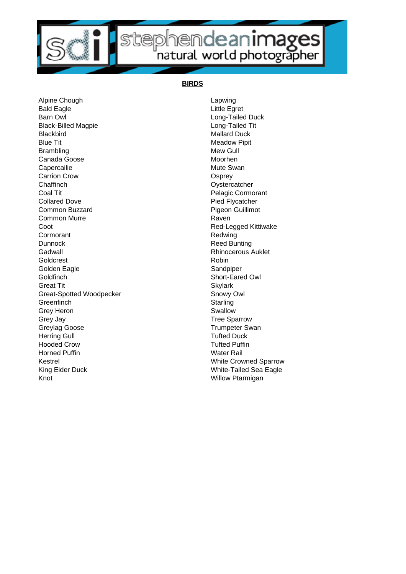

## stephendeanimages

## **BIRDS**

Alpine Chough **Lapwing** Lapwing Bald Eagle **Little Egret** Barn Owl **Barn Owl Barn Owl Barn Owl Barn Owl Example 2018** Black-Billed Magpie **Long-Tailed Tit** Blackbird Mallard Duck Blue Tit **Meadow Pipit** Meadow Pipit Brambling Mew Gull Canada Goose Moorhen Capercailie **Mute Swan** Carrion Crow Carrion Crow Company Control Company Company Company Company Company Company Company Company Company Company Company Company Company Company Company Company Company Company Company Company Company Company Comp Chaffinch Oystercatcher Coal Tit **Coal Tit** Pelagic Cormorant Collared Dove **Pied Flycatcher** Common Buzzard **Pigeon** Guillimot Common Murre **Raven** Coot **Red-Legged Kittiwake** Cormorant **Redwing** Dunnock **Reed Bunting** Gadwall **Gadwall Gadwall Gadwall Gadwall Gadwall Rhinocerous Auklet** Goldcrest **Robin** Golden Eagle **Sandpiper** Sandpiper Goldfinch Short-Eared Owl Goldfinch Short Eared OwlGreat Tit Skylark Great-Spotted Woodpecker Snowy Owl Greenfinch Starling Grey Heron Swallow Swallow Grey Jay **Tree Sparrow** Greylag Goose Trumpeter Swan Herring Gull **Tufted Duck** Hooded Crow Tufted Puffin Horned Puffin North Communication Communication National Water Rail Kestrel **Kestrel** White Crowned Sparrow King Eider Duck White-Tailed Sea Eagle Knot **Knot** Willow Ptarmigan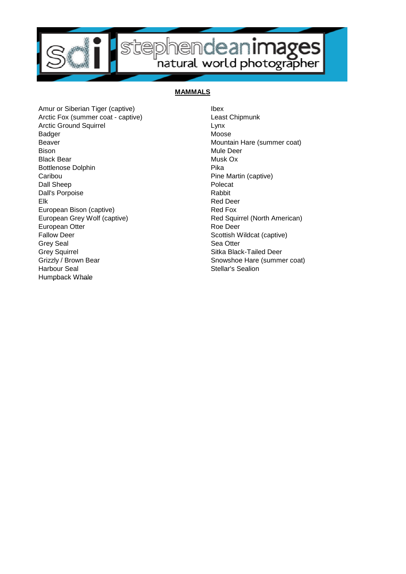

## **MAMMALS**

Amur or Siberian Tiger (captive) **Ibex** Arctic Fox (summer coat - captive) Least Chipmunk Arctic Ground Squirrel Lynx Badger Moose Moose Beaver Mountain Hare (summer coat) Bison Mule Deer Black Bear Musk Ox Bottlenose Dolphin **Pika** Caribou **Pine Martin (captive)** Dall Sheep Polecate All Sheep Polecate All Sheep Polecate All Sheep Polecate All Sheep Polecate Dall's Porpoise **Rabbit** Rabbit Elk Red Deer European Bison (captive) **Red Fox** European Grey Wolf (captive) **Red Squirrel (North American)** European Otter **Roe Deer** Roe Deer Fallow Deer Scottish Wildcat (captive) Grey Seal Sea Otter New York 1989 Grey Squirrel **Sitka Black-Tailed Deer** Grizzly / Brown Bear Snowshoe Hare (summer coat) Harbour Seal **Stellar's Sealion** Humpback Whale Humpback Whale